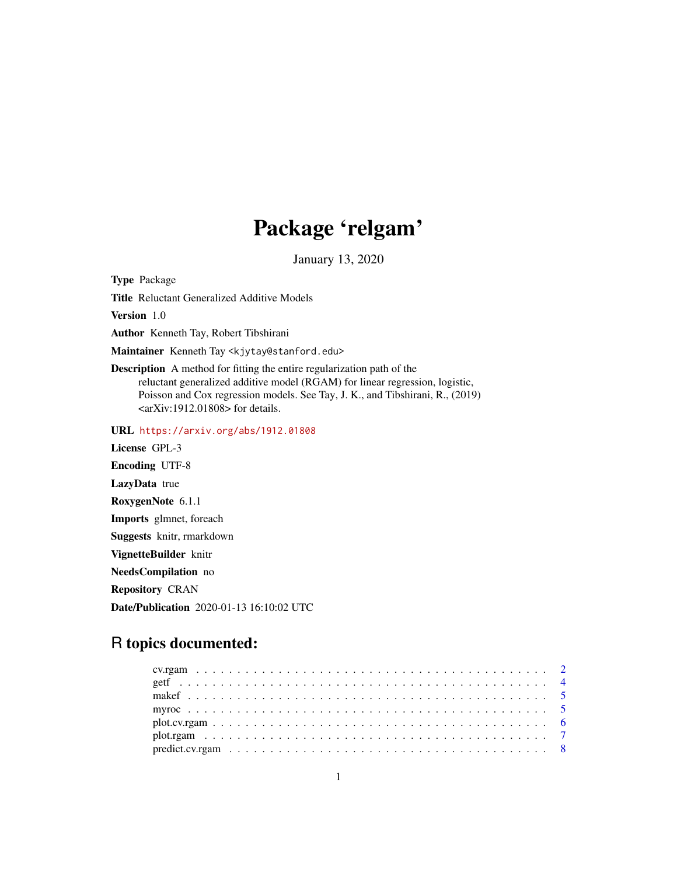# Package 'relgam'

January 13, 2020

Type Package

Title Reluctant Generalized Additive Models

Version 1.0

Author Kenneth Tay, Robert Tibshirani

Maintainer Kenneth Tay <kjytay@stanford.edu>

Description A method for fitting the entire regularization path of the reluctant generalized additive model (RGAM) for linear regression, logistic, Poisson and Cox regression models. See Tay, J. K., and Tibshirani, R., (2019)  $\langle \text{arXiv:1912.01808}\rangle$  for details.

URL <https://arxiv.org/abs/1912.01808>

License GPL-3 Encoding UTF-8 LazyData true RoxygenNote 6.1.1 Imports glmnet, foreach Suggests knitr, rmarkdown VignetteBuilder knitr NeedsCompilation no Repository CRAN Date/Publication 2020-01-13 16:10:02 UTC

# R topics documented: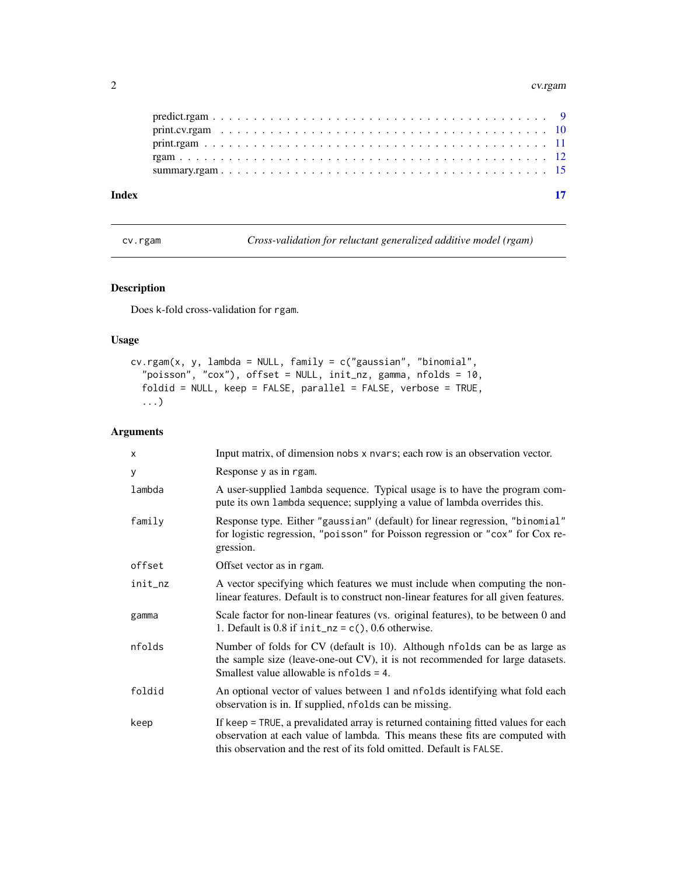#### <span id="page-1-0"></span>2 cv.rgam

| Index |  |  |  |  |  |  |  |  |  |  |  |  |  |  |  |  |  |  |
|-------|--|--|--|--|--|--|--|--|--|--|--|--|--|--|--|--|--|--|
|       |  |  |  |  |  |  |  |  |  |  |  |  |  |  |  |  |  |  |
|       |  |  |  |  |  |  |  |  |  |  |  |  |  |  |  |  |  |  |
|       |  |  |  |  |  |  |  |  |  |  |  |  |  |  |  |  |  |  |
|       |  |  |  |  |  |  |  |  |  |  |  |  |  |  |  |  |  |  |
|       |  |  |  |  |  |  |  |  |  |  |  |  |  |  |  |  |  |  |

<span id="page-1-1"></span>cv.rgam *Cross-validation for reluctant generalized additive model (rgam)*

# Description

Does k-fold cross-validation for rgam.

# Usage

```
cv.rgam(x, y, lambda = NULL, family = c("gaussian", "binomial","poisson", "cox"), offset = NULL, init_nz, gamma, nfolds = 10,
 foldid = NULL, keep = FALSE, parallel = FALSE, verbose = TRUE,
  ...)
```

| X       | Input matrix, of dimension nobs x nvars; each row is an observation vector.                                                                                                                                                                |
|---------|--------------------------------------------------------------------------------------------------------------------------------------------------------------------------------------------------------------------------------------------|
| у       | Response y as in rgam.                                                                                                                                                                                                                     |
| lambda  | A user-supplied lambda sequence. Typical usage is to have the program com-<br>pute its own lambda sequence; supplying a value of lambda overrides this.                                                                                    |
| family  | Response type. Either "gaussian" (default) for linear regression, "binomial"<br>for logistic regression, "poisson" for Poisson regression or "cox" for Cox re-<br>gression.                                                                |
| offset  | Offset vector as in rgam.                                                                                                                                                                                                                  |
| init_nz | A vector specifying which features we must include when computing the non-<br>linear features. Default is to construct non-linear features for all given features.                                                                         |
| gamma   | Scale factor for non-linear features (vs. original features), to be between 0 and<br>1. Default is 0.8 if $init_nz = c()$ , 0.6 otherwise.                                                                                                 |
| nfolds  | Number of folds for CV (default is 10). Although nfolds can be as large as<br>the sample size (leave-one-out CV), it is not recommended for large datasets.<br>Smallest value allowable is $n_{\text{folds}} = 4$ .                        |
| foldid  | An optional vector of values between 1 and nfolds identifying what fold each<br>observation is in. If supplied, nfolds can be missing.                                                                                                     |
| keep    | If keep = TRUE, a prevalidated array is returned containing fitted values for each<br>observation at each value of lambda. This means these fits are computed with<br>this observation and the rest of its fold omitted. Default is FALSE. |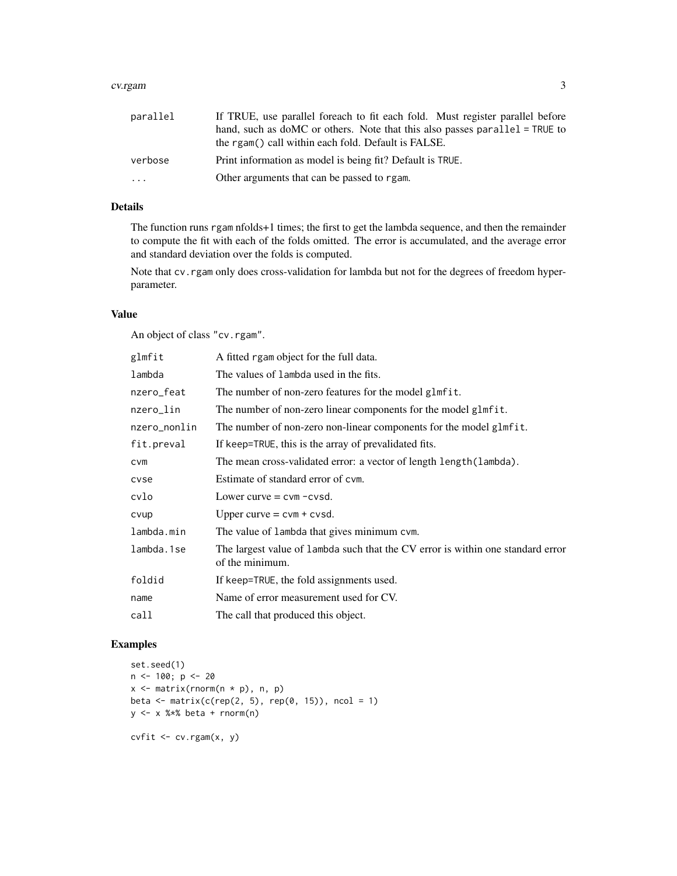#### cv.rgam 3

| parallel | If TRUE, use parallel foreach to fit each fold. Must register parallel before                                                      |
|----------|------------------------------------------------------------------------------------------------------------------------------------|
|          | hand, such as doMC or others. Note that this also passes parallel = TRUE to<br>the rgam() call within each fold. Default is FALSE. |
|          |                                                                                                                                    |
| verbose  | Print information as model is being fit? Default is TRUE.                                                                          |
| $\cdot$  | Other arguments that can be passed to rgam.                                                                                        |

# Details

The function runs rgam nfolds+1 times; the first to get the lambda sequence, and then the remainder to compute the fit with each of the folds omitted. The error is accumulated, and the average error and standard deviation over the folds is computed.

Note that cv.rgam only does cross-validation for lambda but not for the degrees of freedom hyperparameter.

# Value

An object of class "cv.rgam".

| glmfit       | A fitted rgam object for the full data.                                                            |
|--------------|----------------------------------------------------------------------------------------------------|
| lambda       | The values of lambda used in the fits.                                                             |
| nzero_feat   | The number of non-zero features for the model glmfit.                                              |
| nzero_lin    | The number of non-zero linear components for the model glmfit.                                     |
| nzero_nonlin | The number of non-zero non-linear components for the model glmfit.                                 |
| fit.preval   | If keep=TRUE, this is the array of prevalidated fits.                                              |
| cvm          | The mean cross-validated error: a vector of length length (lambda).                                |
| cvse         | Estimate of standard error of cym.                                                                 |
| cvlo         | Lower curve $=$ cvm $-$ cvsd.                                                                      |
| cvup         | Upper curve $=$ cvm $+$ cvsd.                                                                      |
| lambda.min   | The value of lambda that gives minimum cvm.                                                        |
| lambda.1se   | The largest value of lambda such that the CV error is within one standard error<br>of the minimum. |
| foldid       | If keep=TRUE, the fold assignments used.                                                           |
| name         | Name of error measurement used for CV.                                                             |
| call         | The call that produced this object.                                                                |

# Examples

```
set.seed(1)
n < -100; p < -20x \leftarrow \text{matrix}(rnorm(n * p), n, p)beta \leq matrix(c(rep(2, 5), rep(0, 15)), ncol = 1)
y \le -x %*% beta + rnorm(n)
cvfit \leq cv.rgam(x, y)
```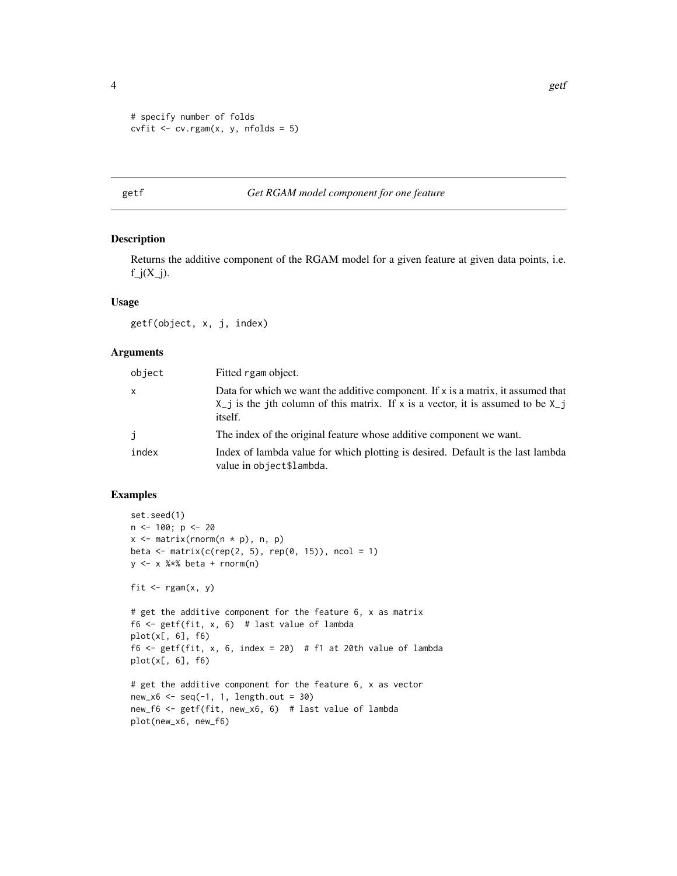```
# specify number of folds
cvfit \leq cv.rgam(x, y, nfolds = 5)
```
# getf *Get RGAM model component for one feature*

#### Description

Returns the additive component of the RGAM model for a given feature at given data points, i.e.  $f_j(X_j)$ .

#### Usage

getf(object, x, j, index)

# Arguments

| object | Fitted rgam object.                                                                                                                                                                        |
|--------|--------------------------------------------------------------------------------------------------------------------------------------------------------------------------------------------|
| X      | Data for which we want the additive component. If $x$ is a matrix, it assumed that<br>$X_{-}j$ is the jth column of this matrix. If x is a vector, it is assumed to be $X_{-}j$<br>itself. |
| j      | The index of the original feature whose additive component we want.                                                                                                                        |
| index  | Index of lambda value for which plotting is desired. Default is the last lambda<br>value in object\$lambda.                                                                                |

# Examples

```
set.seed(1)
n <- 100; p <- 20
x \le matrix(rnorm(n * p), n, p)
beta <- matrix(c(rep(2, 5), rep(0, 15)), ncol = 1)
y \le -x %*% beta + rnorm(n)
fit \leq rgam(x, y)# get the additive component for the feature 6, x as matrix
f6 \leq getf(fit, x, 6) # last value of lambda
plot(x[, 6], f6)
f6 <- getf(fit, x, 6, index = 20) # f1 at 20th value of lambda
plot(x[, 6], f6)
# get the additive component for the feature 6, x as vector
new_x6 \leq seq(-1, 1, length.out = 30)new_f6 <- getf(fit, new_x6, 6) # last value of lambda
plot(new_x6, new_f6)
```
<span id="page-3-0"></span>4 gett $\frac{1}{2}$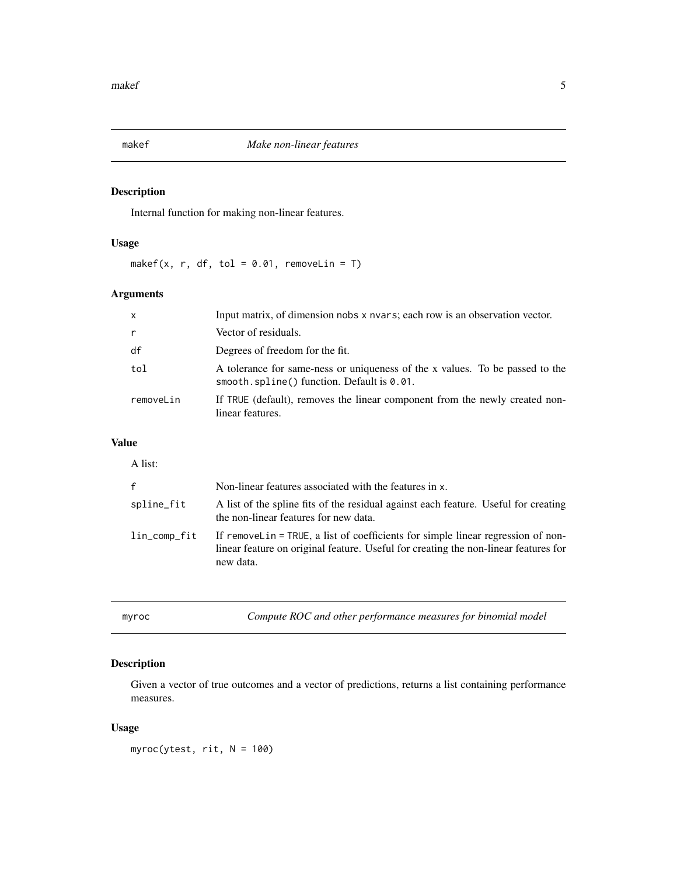<span id="page-4-0"></span>

# Description

Internal function for making non-linear features.

# Usage

makef(x, r, df, tol =  $0.01$ , removeLin = T)

# Arguments

| $\mathsf{x}$ | Input matrix, of dimension nobs x nvars; each row is an observation vector.                                                   |
|--------------|-------------------------------------------------------------------------------------------------------------------------------|
| $\mathsf{r}$ | Vector of residuals.                                                                                                          |
| df           | Degrees of freedom for the fit.                                                                                               |
| tol          | A tolerance for same-ness or uniqueness of the x values. To be passed to the<br>smooth.spline() function. Default is $0.01$ . |
| removeLin    | If TRUE (default), removes the linear component from the newly created non-<br>linear features.                               |

# Value

| A list:      |                                                                                                                                                                                      |
|--------------|--------------------------------------------------------------------------------------------------------------------------------------------------------------------------------------|
| $\mathsf{f}$ | Non-linear features associated with the features in x.                                                                                                                               |
| spline_fit   | A list of the spline fits of the residual against each feature. Useful for creating<br>the non-linear features for new data.                                                         |
| lin_comp_fit | If remove Line TRUE, a list of coefficients for simple linear regression of non-<br>linear feature on original feature. Useful for creating the non-linear features for<br>new data. |

| mvr |  |  |
|-----|--|--|

Compute ROC and other performance measures for binomial model

# Description

Given a vector of true outcomes and a vector of predictions, returns a list containing performance measures.

# Usage

myroc(ytest, rit, N = 100)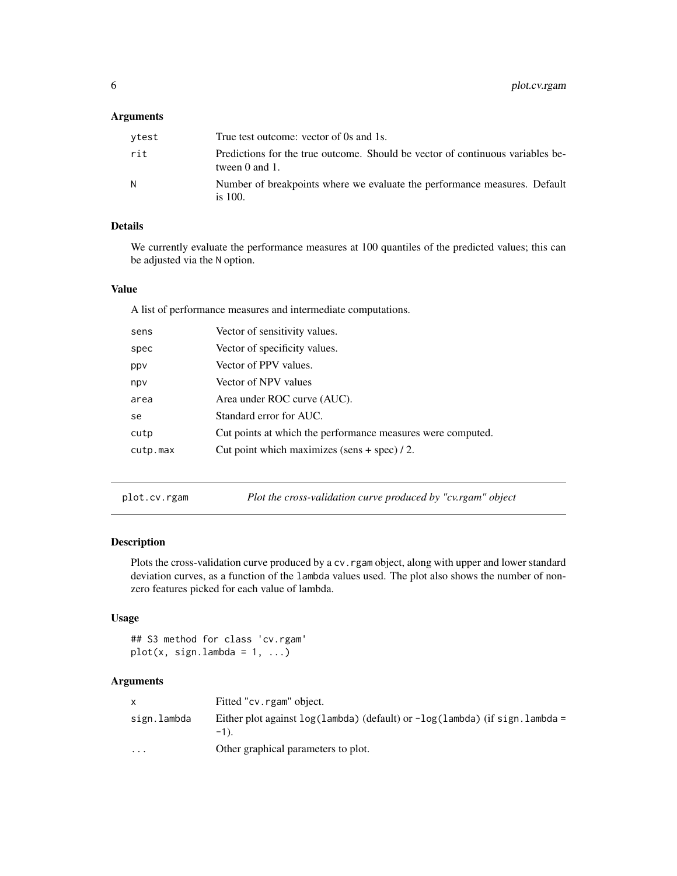#### <span id="page-5-0"></span>Arguments

| vtest | True test outcome: vector of 0s and 1s.                                                          |
|-------|--------------------------------------------------------------------------------------------------|
| rit   | Predictions for the true outcome. Should be vector of continuous variables be-<br>tween 0 and 1. |
| N     | Number of breakpoints where we evaluate the performance measures. Default<br>is $100$ .          |

# Details

We currently evaluate the performance measures at 100 quantiles of the predicted values; this can be adjusted via the N option.

#### Value

A list of performance measures and intermediate computations.

| sens     | Vector of sensitivity values.                               |
|----------|-------------------------------------------------------------|
| spec     | Vector of specificity values.                               |
| ppv      | Vector of PPV values.                                       |
| npv      | Vector of NPV values                                        |
| area     | Area under ROC curve (AUC).                                 |
| se       | Standard error for AUC.                                     |
| cutp     | Cut points at which the performance measures were computed. |
| cutp.max | Cut point which maximizes $(sens + spec) / 2$ .             |
|          |                                                             |

plot.cv.rgam *Plot the cross-validation curve produced by "cv.rgam" object*

# Description

Plots the cross-validation curve produced by a cv. rgam object, along with upper and lower standard deviation curves, as a function of the lambda values used. The plot also shows the number of nonzero features picked for each value of lambda.

#### Usage

## S3 method for class 'cv.rgam'  $plot(x, sign.lambda = 1, ...)$ 

|             | Fitted "cv.rgam" object.                                                                      |
|-------------|-----------------------------------------------------------------------------------------------|
| sign.lambda | Either plot against $log(1$ ambda) (default) or $-log(1$ ambda) (if sign. lambda =<br>$-1$ ). |
| $\cdots$    | Other graphical parameters to plot.                                                           |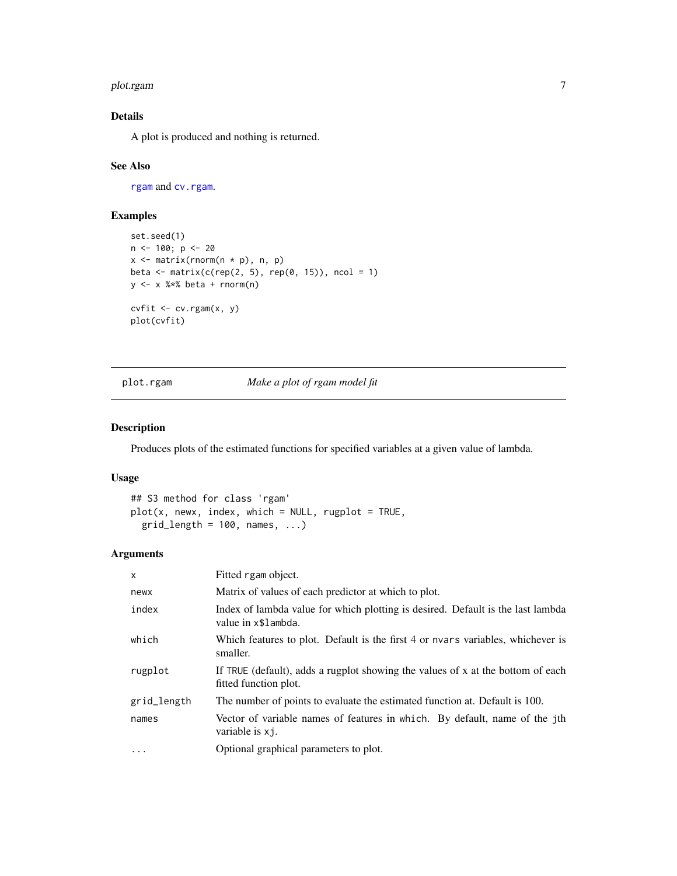#### <span id="page-6-0"></span>plot.rgam 7

# Details

A plot is produced and nothing is returned.

#### See Also

[rgam](#page-11-1) and [cv.rgam](#page-1-1).

# Examples

```
set.seed(1)
n <- 100; p <- 20
x \leftarrow \text{matrix}(rnorm(n * p), n, p)beta \leq matrix(c(rep(2, 5), rep(0, 15)), ncol = 1)
y <- x %*% beta + rnorm(n)
cvfit <- cv.rgam(x, y)
plot(cvfit)
```
plot.rgam *Make a plot of rgam model fit*

# Description

Produces plots of the estimated functions for specified variables at a given value of lambda.

# Usage

```
## S3 method for class 'rgam'
plot(x, newx, index, which = NULL, rugbyot = TRUE,grid_length = 100, names, ...)
```

| $\mathsf{x}$ | Fitted rgam object.                                                                                      |
|--------------|----------------------------------------------------------------------------------------------------------|
| newx         | Matrix of values of each predictor at which to plot.                                                     |
| index        | Index of lambda value for which plotting is desired. Default is the last lambda<br>value in x\$1 ambda.  |
| which        | Which features to plot. Default is the first 4 or nvars variables, whichever is<br>smaller.              |
| rugplot      | If TRUE (default), adds a rugplot showing the values of x at the bottom of each<br>fitted function plot. |
| grid_length  | The number of points to evaluate the estimated function at. Default is 100.                              |
| names        | Vector of variable names of features in which. By default, name of the jth<br>variable is x i.           |
| $\ddotsc$    | Optional graphical parameters to plot.                                                                   |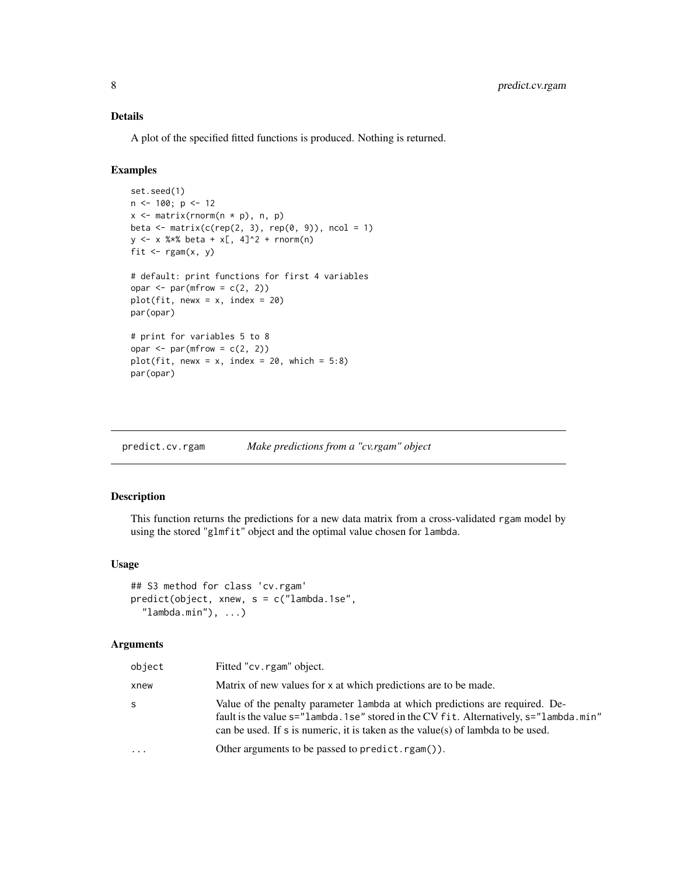# <span id="page-7-0"></span>Details

A plot of the specified fitted functions is produced. Nothing is returned.

# Examples

```
set.seed(1)
n <- 100; p <- 12
x \leq matrix(rnorm(n * p), n, p)
beta \leq matrix(c(rep(2, 3), rep(0, 9)), ncol = 1)
y \le - x %*% beta + x[, 4]^2 + rnorm(n)fit \leftarrow rgam(x, y)# default: print functions for first 4 variables
opar \leq par(mfrow = c(2, 2))
plot(fit, newx = x, index = 20)
par(opar)
# print for variables 5 to 8
opar \leq par(mfrow = c(2, 2))
plot(fit, newx = x, index = 20, which = 5:8)
par(opar)
```

| predict.cv.rgam | Make predictions from a "cv.rgam" object |  |  |
|-----------------|------------------------------------------|--|--|
|                 |                                          |  |  |

#### Description

This function returns the predictions for a new data matrix from a cross-validated rgam model by using the stored "glmfit" object and the optimal value chosen for lambda.

#### Usage

```
## S3 method for class 'cv.rgam'
predict(object, xnew, s = c("lambda.1se",
  "lambda.min"), ...)
```

| object    | Fitted "cv.rgam" object.                                                                                                                                                                                                                                     |
|-----------|--------------------------------------------------------------------------------------------------------------------------------------------------------------------------------------------------------------------------------------------------------------|
| xnew      | Matrix of new values for x at which predictions are to be made.                                                                                                                                                                                              |
| S.        | Value of the penalty parameter 1 ambda at which predictions are required. De-<br>fault is the value s="lambda. 1 se" stored in the CV fit. Alternatively, s="lambda. min"<br>can be used. If s is numeric, it is taken as the value(s) of lambda to be used. |
| $\ddotsc$ | Other arguments to be passed to predict.rgam()).                                                                                                                                                                                                             |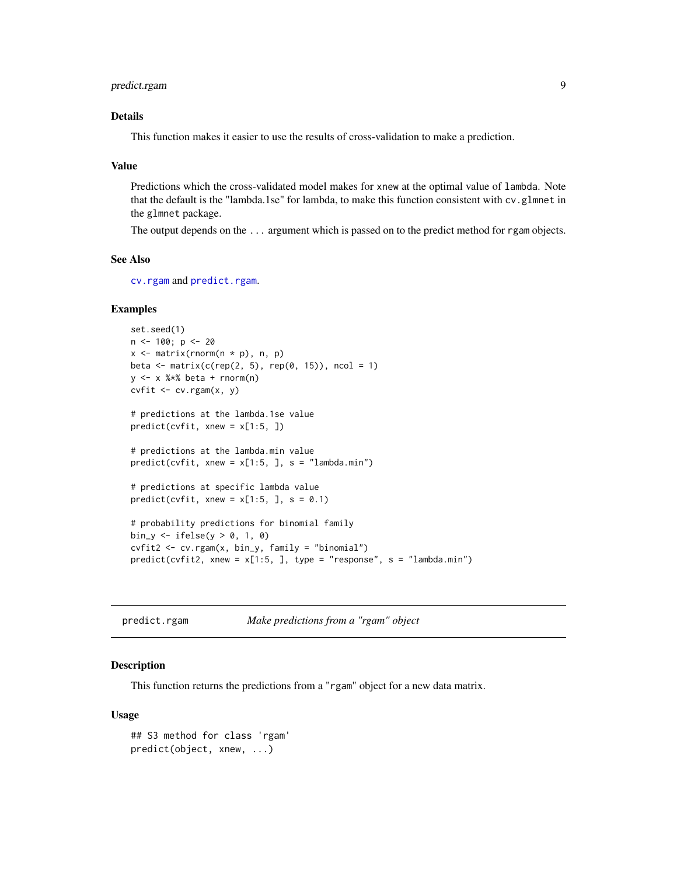# <span id="page-8-0"></span>predict.rgam 9

# Details

This function makes it easier to use the results of cross-validation to make a prediction.

#### Value

Predictions which the cross-validated model makes for xnew at the optimal value of lambda. Note that the default is the "lambda.1se" for lambda, to make this function consistent with cv.glmnet in the glmnet package.

The output depends on the ... argument which is passed on to the predict method for rgam objects.

#### See Also

[cv.rgam](#page-1-1) and [predict.rgam](#page-8-1).

#### Examples

```
set.seed(1)
n < -100; p < -20x \leq matrix(rnorm(n * p), n, p)
beta \leq matrix(c(rep(2, 5), rep(0, 15)), ncol = 1)
y <- x %*% beta + rnorm(n)
cvfit \leftarrow cv.rgam(x, y)# predictions at the lambda.1se value
predict(cvfit, xnew = x[1:5, ])
# predictions at the lambda.min value
predict(cvfit, xnew = x[1:5, ], s = "lambda.min")# predictions at specific lambda value
predict(cvfit, xnew = x[1:5, 1, s = 0.1)# probability predictions for binomial family
bin_y <- ifelse(y > 0, 1, 0)
cvfit2 <- cv.rgam(x, bin_y, family = "binomial")
predict(cvfit2, xnew = x[1:5, ], type = "response", s = "lambda.min")
```
<span id="page-8-1"></span>

| predict.rgam | Make predictions from a "rgam" object |  |  |
|--------------|---------------------------------------|--|--|
|              |                                       |  |  |

#### **Description**

This function returns the predictions from a "rgam" object for a new data matrix.

#### Usage

```
## S3 method for class 'rgam'
predict(object, xnew, ...)
```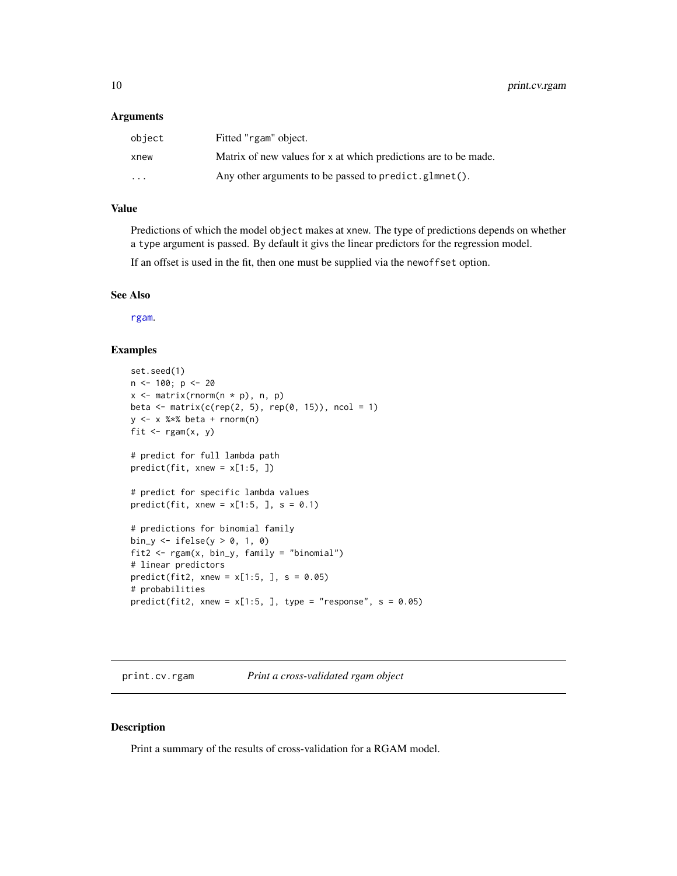#### <span id="page-9-0"></span>Arguments

| object                  | Fitted "rgam" object.                                           |
|-------------------------|-----------------------------------------------------------------|
| xnew                    | Matrix of new values for x at which predictions are to be made. |
| $\cdot$ $\cdot$ $\cdot$ | Any other arguments to be passed to predict.glmnet().           |

### Value

Predictions of which the model object makes at xnew. The type of predictions depends on whether a type argument is passed. By default it givs the linear predictors for the regression model.

If an offset is used in the fit, then one must be supplied via the newoffset option.

#### See Also

[rgam](#page-11-1).

#### Examples

```
set.seed(1)
n <- 100; p <- 20
x \leftarrow \text{matrix}(rnorm(n * p), n, p)beta \leq matrix(c(rep(2, 5), rep(0, 15)), ncol = 1)
y <- x %*% beta + rnorm(n)
fit \leq rgam(x, y)# predict for full lambda path
predict(fit, xnew = x[1:5, ])
# predict for specific lambda values
predict(fit, xnew = x[1:5, 1, s = 0.1)# predictions for binomial family
bin_y \leftarrow ifelse(y > 0, 1, 0)
fit2 <- rgam(x, bin_y, family = "binomial")
# linear predictors
predict(fit2, xnew = x[1:5, ], s = 0.05)# probabilities
predict(fit2, xnew = x[1:5, ], type = "response", s = 0.05)
```
print.cv.rgam *Print a cross-validated rgam object*

#### Description

Print a summary of the results of cross-validation for a RGAM model.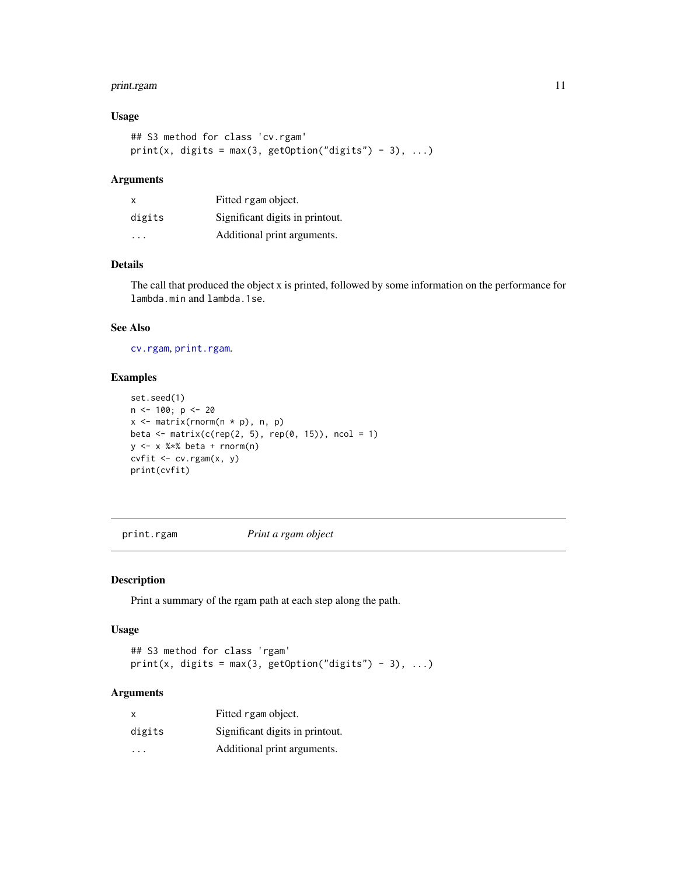# <span id="page-10-0"></span>print.rgam 11

# Usage

```
## S3 method for class 'cv.rgam'
print(x, digits = max(3, getOption("digits") - 3), ...)
```
## Arguments

| $\times$ | Fitted rgam object.             |
|----------|---------------------------------|
| digits   | Significant digits in printout. |
| .        | Additional print arguments.     |

# Details

The call that produced the object x is printed, followed by some information on the performance for lambda.min and lambda.1se.

### See Also

[cv.rgam](#page-1-1), [print.rgam](#page-10-1).

## Examples

```
set.seed(1)
n < -100; p < -20x \leftarrow \text{matrix}(rnorm(n * p), n, p)beta \leq matrix(c(rep(2, 5), rep(0, 15)), ncol = 1)
y \le -x %*% beta + rnorm(n)
cvfit \leftarrow cv.rgam(x, y)print(cvfit)
```
<span id="page-10-1"></span>print.rgam *Print a rgam object*

#### Description

Print a summary of the rgam path at each step along the path.

#### Usage

## S3 method for class 'rgam' print(x, digits = max(3, getOption("digits") - 3), ...)

| x                       | Fitted rgam object.             |
|-------------------------|---------------------------------|
| digits                  | Significant digits in printout. |
| $\cdot$ $\cdot$ $\cdot$ | Additional print arguments.     |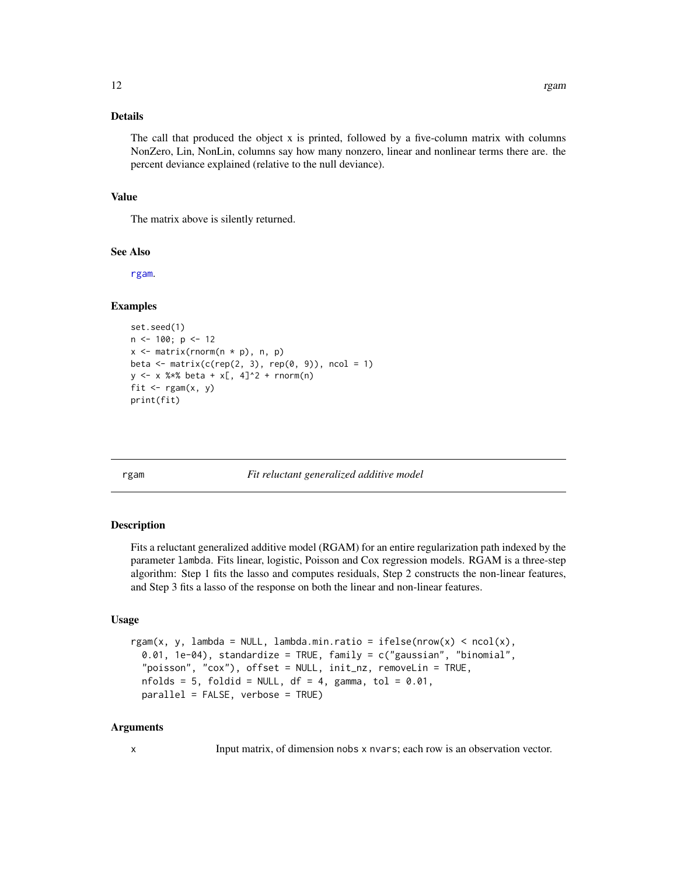# <span id="page-11-0"></span>Details

The call that produced the object x is printed, followed by a five-column matrix with columns NonZero, Lin, NonLin, columns say how many nonzero, linear and nonlinear terms there are. the percent deviance explained (relative to the null deviance).

#### Value

The matrix above is silently returned.

#### See Also

[rgam](#page-11-1).

#### Examples

```
set.seed(1)
n <- 100; p <- 12
x <- matrix(rnorm(n * p), n, p)
beta \leq matrix(c(rep(2, 3), rep(0, 9)), ncol = 1)
y \le -x %*% beta + x[, 4]^2 + rnorm(n)
fit \leq rgam(x, y)print(fit)
```
<span id="page-11-1"></span>

rgam *Fit reluctant generalized additive model*

#### Description

Fits a reluctant generalized additive model (RGAM) for an entire regularization path indexed by the parameter lambda. Fits linear, logistic, Poisson and Cox regression models. RGAM is a three-step algorithm: Step 1 fits the lasso and computes residuals, Step 2 constructs the non-linear features, and Step 3 fits a lasso of the response on both the linear and non-linear features.

#### Usage

```
rgam(x, y, lambda = NULL, lambda.min.ratio = ifelse(nrow(x) < ncol(x),
 0.01, 1e-04), standardize = TRUE, family = c("gaussian", "binomial",
  "poisson", "cox"), offset = NULL, init_nz, removeLin = TRUE,
 nfolds = 5, foldid = NULL, df = 4, gamma, tol = 0.01,
 parallel = FALSE, verbose = TRUE)
```
# Arguments

x Input matrix, of dimension nobs x nvars; each row is an observation vector.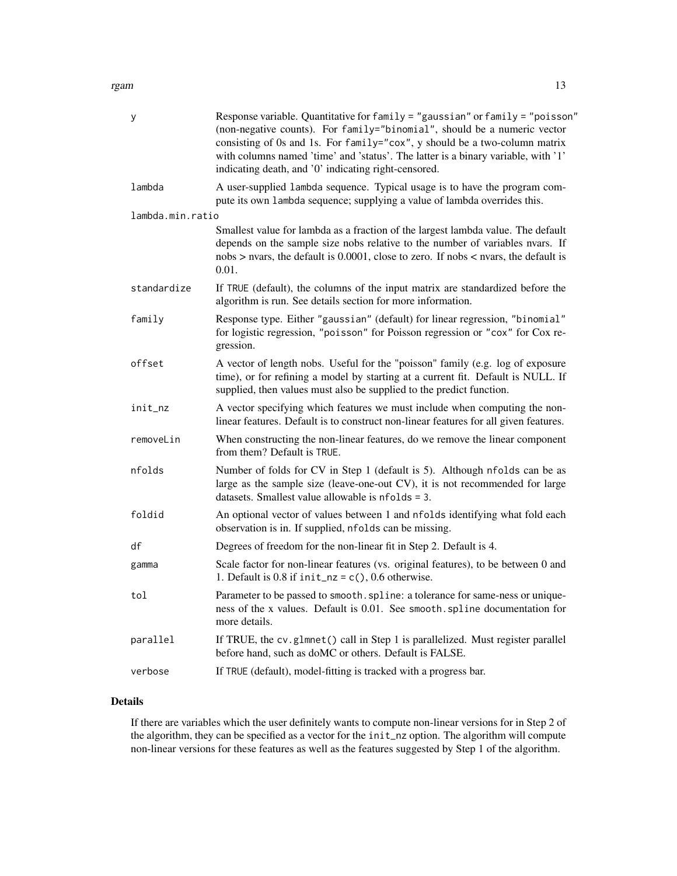rgam that the contract of the contract of the contract of the contract of the contract of the contract of the contract of the contract of the contract of the contract of the contract of the contract of the contract of the

| у                | Response variable. Quantitative for family = "gaussian" or family = "poisson"<br>(non-negative counts). For family="binomial", should be a numeric vector<br>consisting of 0s and 1s. For family="cox", y should be a two-column matrix<br>with columns named 'time' and 'status'. The latter is a binary variable, with '1'<br>indicating death, and '0' indicating right-censored. |
|------------------|--------------------------------------------------------------------------------------------------------------------------------------------------------------------------------------------------------------------------------------------------------------------------------------------------------------------------------------------------------------------------------------|
| lambda           | A user-supplied lambda sequence. Typical usage is to have the program com-<br>pute its own lambda sequence; supplying a value of lambda overrides this.                                                                                                                                                                                                                              |
| lambda.min.ratio |                                                                                                                                                                                                                                                                                                                                                                                      |
|                  | Smallest value for lambda as a fraction of the largest lambda value. The default<br>depends on the sample size nobs relative to the number of variables nvars. If<br>nobs $>$ nvars, the default is 0.0001, close to zero. If nobs $<$ nvars, the default is<br>0.01.                                                                                                                |
| standardize      | If TRUE (default), the columns of the input matrix are standardized before the<br>algorithm is run. See details section for more information.                                                                                                                                                                                                                                        |
| family           | Response type. Either "gaussian" (default) for linear regression, "binomial"<br>for logistic regression, "poisson" for Poisson regression or "cox" for Cox re-<br>gression.                                                                                                                                                                                                          |
| offset           | A vector of length nobs. Useful for the "poisson" family (e.g. log of exposure<br>time), or for refining a model by starting at a current fit. Default is NULL. If<br>supplied, then values must also be supplied to the predict function.                                                                                                                                           |
| init_nz          | A vector specifying which features we must include when computing the non-<br>linear features. Default is to construct non-linear features for all given features.                                                                                                                                                                                                                   |
| removeLin        | When constructing the non-linear features, do we remove the linear component<br>from them? Default is TRUE.                                                                                                                                                                                                                                                                          |
| nfolds           | Number of folds for CV in Step 1 (default is 5). Although nfolds can be as<br>large as the sample size (leave-one-out CV), it is not recommended for large<br>datasets. Smallest value allowable is $nfolds = 3$ .                                                                                                                                                                   |
| foldid           | An optional vector of values between 1 and nfolds identifying what fold each<br>observation is in. If supplied, nfolds can be missing.                                                                                                                                                                                                                                               |
| df               | Degrees of freedom for the non-linear fit in Step 2. Default is 4.                                                                                                                                                                                                                                                                                                                   |
| gamma            | Scale factor for non-linear features (vs. original features), to be between 0 and<br>1. Default is 0.8 if $init_nz = c()$ , 0.6 otherwise.                                                                                                                                                                                                                                           |
| tol              | Parameter to be passed to smooth. spline: a tolerance for same-ness or unique-<br>ness of the x values. Default is 0.01. See smooth. spline documentation for<br>more details.                                                                                                                                                                                                       |
| parallel         | If TRUE, the cv.glmnet() call in Step 1 is parallelized. Must register parallel<br>before hand, such as doMC or others. Default is FALSE.                                                                                                                                                                                                                                            |
| verbose          | If TRUE (default), model-fitting is tracked with a progress bar.                                                                                                                                                                                                                                                                                                                     |

# Details

If there are variables which the user definitely wants to compute non-linear versions for in Step 2 of the algorithm, they can be specified as a vector for the init\_nz option. The algorithm will compute non-linear versions for these features as well as the features suggested by Step 1 of the algorithm.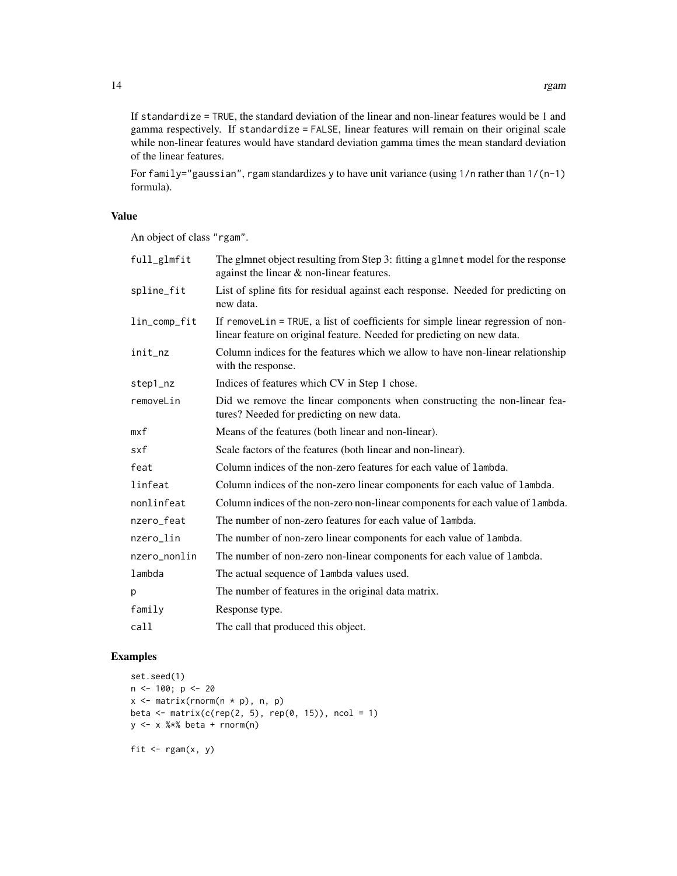If standardize = TRUE, the standard deviation of the linear and non-linear features would be 1 and gamma respectively. If standardize = FALSE, linear features will remain on their original scale while non-linear features would have standard deviation gamma times the mean standard deviation of the linear features.

For family="gaussian", rgam standardizes y to have unit variance (using 1/n rather than 1/(n-1) formula).

# Value

An object of class "rgam".

| full_glmfit  | The glmnet object resulting from Step 3: fitting a glmnet model for the response<br>against the linear & non-linear features.                              |
|--------------|------------------------------------------------------------------------------------------------------------------------------------------------------------|
| spline_fit   | List of spline fits for residual against each response. Needed for predicting on<br>new data.                                                              |
| lin_comp_fit | If removeLin = TRUE, a list of coefficients for simple linear regression of non-<br>linear feature on original feature. Needed for predicting on new data. |
| init_nz      | Column indices for the features which we allow to have non-linear relationship<br>with the response.                                                       |
| step1_nz     | Indices of features which CV in Step 1 chose.                                                                                                              |
| removeLin    | Did we remove the linear components when constructing the non-linear fea-<br>tures? Needed for predicting on new data.                                     |
| mxf          | Means of the features (both linear and non-linear).                                                                                                        |
| sxf          | Scale factors of the features (both linear and non-linear).                                                                                                |
| feat         | Column indices of the non-zero features for each value of lambda.                                                                                          |
| linfeat      | Column indices of the non-zero linear components for each value of lambda.                                                                                 |
| nonlinfeat   | Column indices of the non-zero non-linear components for each value of lambda.                                                                             |
| nzero_feat   | The number of non-zero features for each value of lambda.                                                                                                  |
| nzero_lin    | The number of non-zero linear components for each value of lambda.                                                                                         |
| nzero_nonlin | The number of non-zero non-linear components for each value of lambda.                                                                                     |
| lambda       | The actual sequence of lambda values used.                                                                                                                 |
| р            | The number of features in the original data matrix.                                                                                                        |
| family       | Response type.                                                                                                                                             |
| call         | The call that produced this object.                                                                                                                        |

# Examples

```
set.seed(1)
n < -100; p < -20x <- matrix(rnorm(n * p), n, p)
beta <- matrix(c(rep(2, 5), rep(0, 15)), ncol = 1)
y <- x %*% beta + rnorm(n)
fit \leq rgam(x, y)
```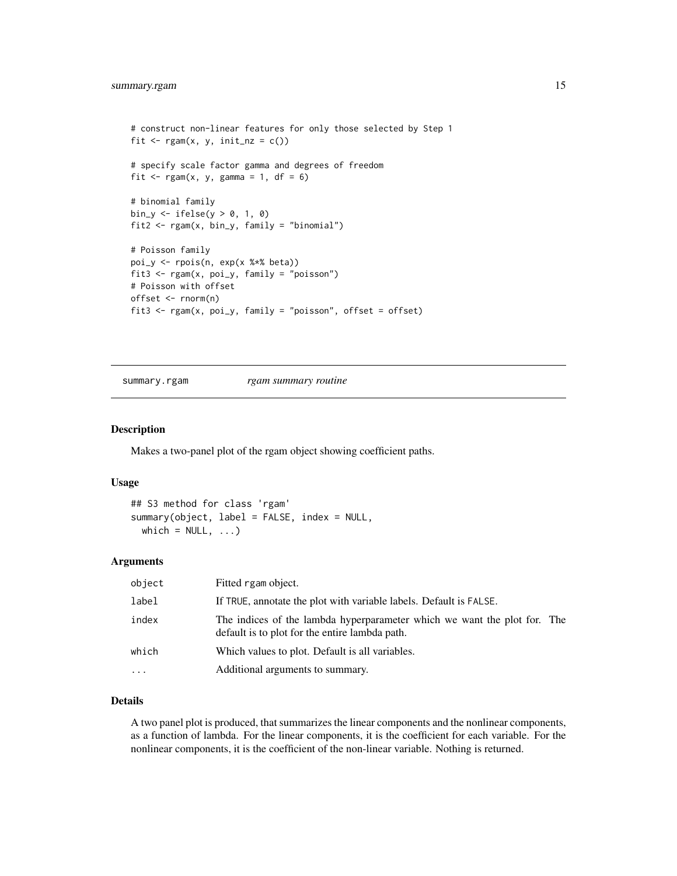```
# construct non-linear features for only those selected by Step 1
fit \leq rgam(x, y, init_nz = c())
# specify scale factor gamma and degrees of freedom
fit \leq rgam(x, y, gamma = 1, df = 6)
# binomial family
bin_y \leq ifelse(y > 0, 1, 0)
fit2 <- rgam(x, bin_y, family = "binomial")
# Poisson family
poi_y <- rpois(n, exp(x %*% beta))
fit3 <- rgam(x, poi_y, family = "poisson")
# Poisson with offset
offset <- rnorm(n)
fit3 <- rgam(x, poi_y, family = "poisson", offset = offset)
```
summary.rgam *rgam summary routine*

#### Description

Makes a two-panel plot of the rgam object showing coefficient paths.

#### Usage

```
## S3 method for class 'rgam'
summary(object, label = FALSE, index = NULL,
 which = NULL, ...)
```
#### Arguments

| object   | Fitted rgam object.                                                                                                        |
|----------|----------------------------------------------------------------------------------------------------------------------------|
| label    | If TRUE, annotate the plot with variable labels. Default is FALSE.                                                         |
| index    | The indices of the lambda hyperparameter which we want the plot for. The<br>default is to plot for the entire lambda path. |
| which    | Which values to plot. Default is all variables.                                                                            |
| $\cdots$ | Additional arguments to summary.                                                                                           |
|          |                                                                                                                            |

#### Details

A two panel plot is produced, that summarizes the linear components and the nonlinear components, as a function of lambda. For the linear components, it is the coefficient for each variable. For the nonlinear components, it is the coefficient of the non-linear variable. Nothing is returned.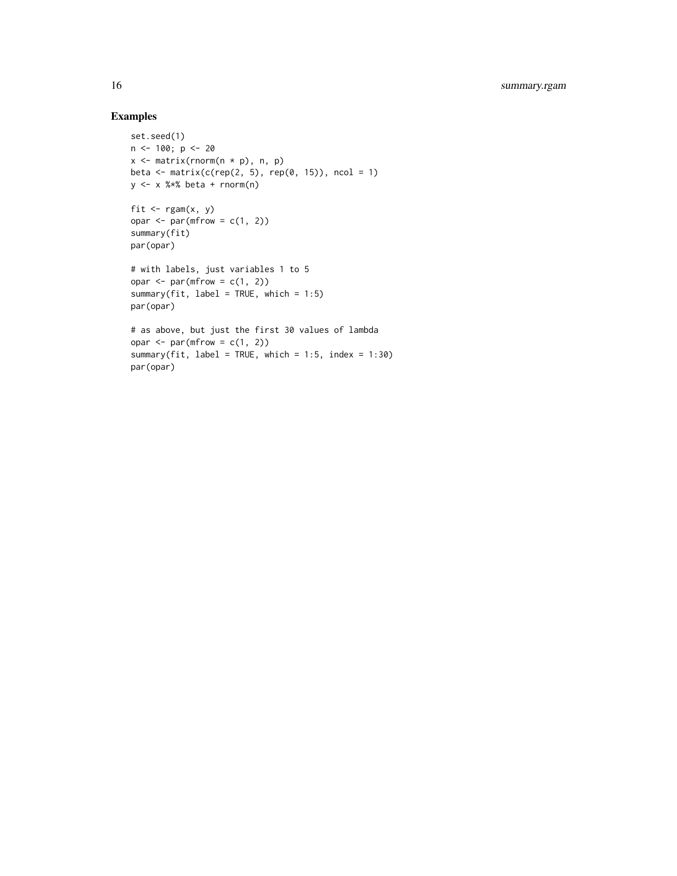# Examples

```
set.seed(1)
n <- 100; p <- 20
x \le matrix(rnorm(n * p), n, p)
beta \leq matrix(c(rep(2, 5), rep(0, 15)), ncol = 1)
y \le -x %*% beta + rnorm(n)
fit \leq rgam(x, y)opar \leq par(mfrow = c(1, 2))
summary(fit)
par(opar)
# with labels, just variables 1 to 5
opar \leq par(mfrow = c(1, 2))
summary(fit, label = TRUE, which = 1:5)
par(opar)
# as above, but just the first 30 values of lambda
opar \leq par(mfrow = c(1, 2))
summary(fit, label = TRUE, which = 1:5, index = 1:30)
par(opar)
```